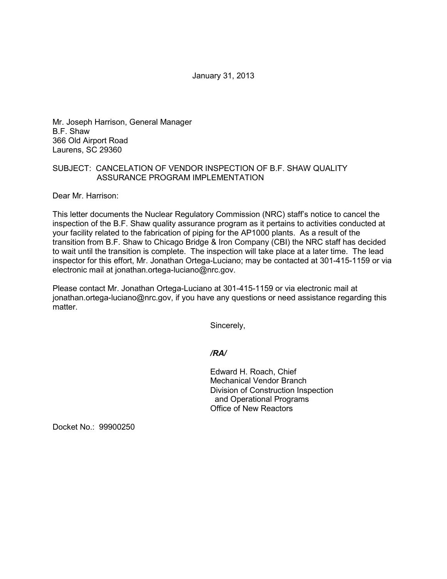January 31, 2013

Mr. Joseph Harrison, General Manager B.F. Shaw 366 Old Airport Road Laurens, SC 29360

## SUBJECT: CANCELATION OF VENDOR INSPECTION OF B.F. SHAW QUALITY ASSURANCE PROGRAM IMPLEMENTATION

Dear Mr. Harrison:

This letter documents the Nuclear Regulatory Commission (NRC) staff's notice to cancel the inspection of the B.F. Shaw quality assurance program as it pertains to activities conducted at your facility related to the fabrication of piping for the AP1000 plants. As a result of the transition from B.F. Shaw to Chicago Bridge & Iron Company (CBI) the NRC staff has decided to wait until the transition is complete. The inspection will take place at a later time. The lead inspector for this effort, Mr. Jonathan Ortega-Luciano; may be contacted at 301-415-1159 or via electronic mail at jonathan.ortega-luciano@nrc.gov.

Please contact Mr. Jonathan Ortega-Luciano at 301-415-1159 or via electronic mail at jonathan.ortega-luciano@nrc.gov, if you have any questions or need assistance regarding this matter.

Sincerely,

*/RA/*

Edward H. Roach, Chief Mechanical Vendor Branch Division of Construction Inspection and Operational Programs Office of New Reactors

Docket No.: 99900250